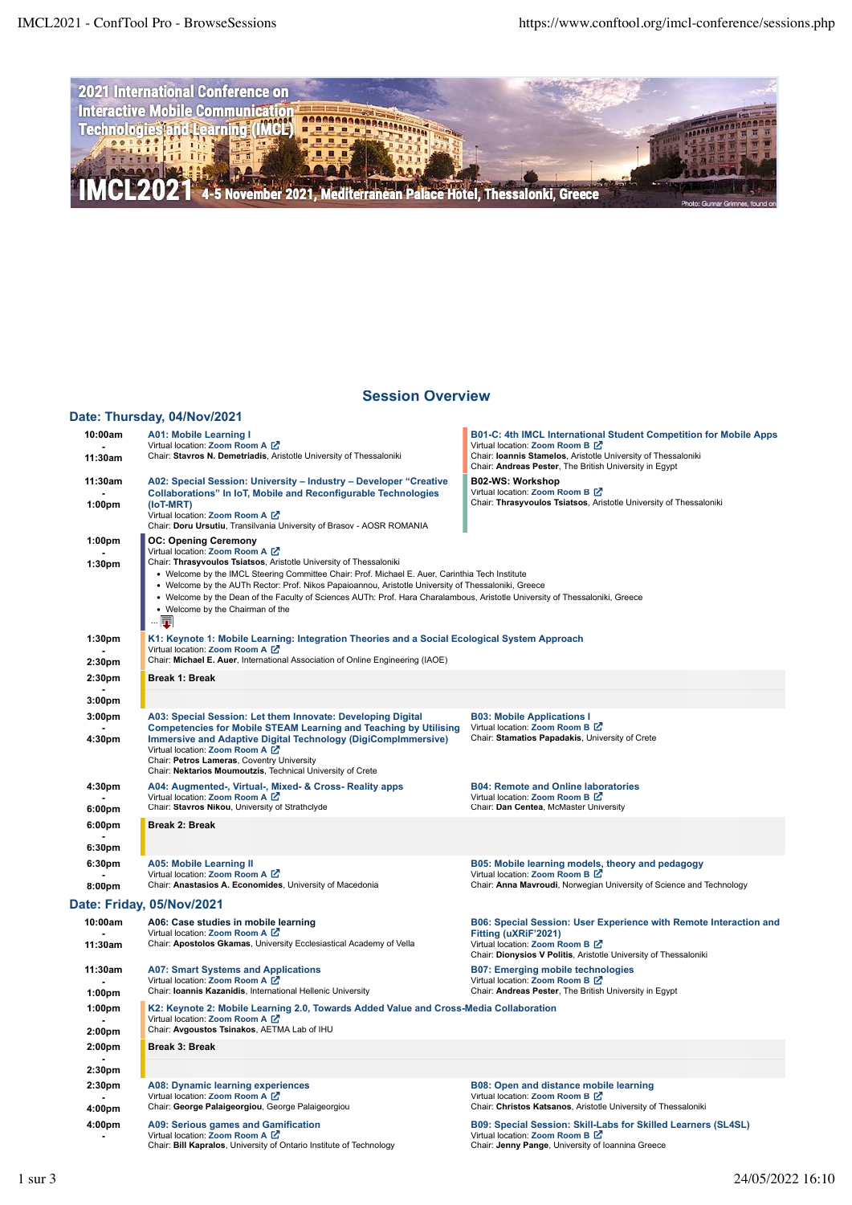

## **[Session Overview](https://www.conftool.org/imcl-conference/index.php?page=browseSessions&presentations=hide)**

## **[Date: Thursday, 04/Nov/2021](https://www.conftool.org/imcl-conference/index.php?page=browseSessions&form_date=2021-11-04&presentations=hide)**

| 10:00am            | <b>A01: Mobile Learning I</b>                                                                                                                                                                                                                                                                                                                                                                                                                         | B01-C: 4th IMCL International Student Competition for Mobile Apps                                                                                           |
|--------------------|-------------------------------------------------------------------------------------------------------------------------------------------------------------------------------------------------------------------------------------------------------------------------------------------------------------------------------------------------------------------------------------------------------------------------------------------------------|-------------------------------------------------------------------------------------------------------------------------------------------------------------|
| 11:30am            | Virtual location: Zoom Room A [Z]<br>Chair: Stavros N. Demetriadis, Aristotle University of Thessaloniki                                                                                                                                                                                                                                                                                                                                              | Virtual location: Zoom Room B Z<br>Chair: Ioannis Stamelos, Aristotle University of Thessaloniki<br>Chair: Andreas Pester, The British University in Egypt  |
| 11:30am            | A02: Special Session: University - Industry - Developer "Creative"<br><b>Collaborations" In IoT, Mobile and Reconfigurable Technologies</b>                                                                                                                                                                                                                                                                                                           | B02-WS: Workshop<br>Virtual location: Zoom Room B Z                                                                                                         |
| 1:00 <sub>pm</sub> | (IoT-MRT)                                                                                                                                                                                                                                                                                                                                                                                                                                             | Chair: Thrasyvoulos Tsiatsos, Aristotle University of Thessaloniki                                                                                          |
|                    | Virtual location: Zoom Room A [Z]<br>Chair: Doru Ursutiu, Transilvania University of Brasov - AOSR ROMANIA                                                                                                                                                                                                                                                                                                                                            |                                                                                                                                                             |
| 1:00 <sub>pm</sub> | <b>OC: Opening Ceremony</b><br>Virtual location: Zoom Room A [Z]                                                                                                                                                                                                                                                                                                                                                                                      |                                                                                                                                                             |
| 1:30pm             | Chair: Thrasyvoulos Tsiatsos, Aristotle University of Thessaloniki<br>• Welcome by the IMCL Steering Committee Chair: Prof. Michael E. Auer, Carinthia Tech Institute<br>• Welcome by the AUTh Rector: Prof. Nikos Papaioannou, Aristotle University of Thessaloniki, Greece<br>• Welcome by the Dean of the Faculty of Sciences AUTh: Prof. Hara Charalambous, Aristotle University of Thessaloniki, Greece<br>• Welcome by the Chairman of the<br>I |                                                                                                                                                             |
| 1:30pm             | K1: Keynote 1: Mobile Learning: Integration Theories and a Social Ecological System Approach<br>Virtual location: Zoom Room A [Z]                                                                                                                                                                                                                                                                                                                     |                                                                                                                                                             |
| 2:30pm             | Chair: Michael E. Auer, International Association of Online Engineering (IAOE)                                                                                                                                                                                                                                                                                                                                                                        |                                                                                                                                                             |
| 2:30 <sub>pm</sub> | <b>Break 1: Break</b>                                                                                                                                                                                                                                                                                                                                                                                                                                 |                                                                                                                                                             |
| 3:00pm             |                                                                                                                                                                                                                                                                                                                                                                                                                                                       |                                                                                                                                                             |
| 3:00 <sub>pm</sub> | A03: Special Session: Let them Innovate: Developing Digital<br><b>Competencies for Mobile STEAM Learning and Teaching by Utilising</b>                                                                                                                                                                                                                                                                                                                | <b>B03: Mobile Applications I</b><br>Virtual location: Zoom Room B Z                                                                                        |
| 4:30pm             | <b>Immersive and Adaptive Digital Technology (DigiCompImmersive)</b><br>Virtual location: Zoom Room A [Z]<br>Chair: Petros Lameras, Coventry University<br>Chair: Nektarios Moumoutzis, Technical University of Crete                                                                                                                                                                                                                                 | Chair: Stamatios Papadakis, University of Crete                                                                                                             |
| 4:30pm<br>6:00pm   | A04: Augmented-, Virtual-, Mixed- & Cross- Reality apps<br>Virtual location: Zoom Room A [Z]<br>Chair: Stavros Nikou, University of Strathclyde                                                                                                                                                                                                                                                                                                       | <b>B04: Remote and Online laboratories</b><br>Virtual location: Zoom Room B Z<br>Chair: Dan Centea, McMaster University                                     |
|                    |                                                                                                                                                                                                                                                                                                                                                                                                                                                       |                                                                                                                                                             |
| 6:00pm             | <b>Break 2: Break</b>                                                                                                                                                                                                                                                                                                                                                                                                                                 |                                                                                                                                                             |
| 6:30pm             |                                                                                                                                                                                                                                                                                                                                                                                                                                                       |                                                                                                                                                             |
| 6:30pm<br>8:00pm   | <b>A05: Mobile Learning II</b><br>Virtual location: Zoom Room A Z<br>Chair: Anastasios A. Economides, University of Macedonia                                                                                                                                                                                                                                                                                                                         | B05: Mobile learning models, theory and pedagogy<br>Virtual location: Zoom Room B Z<br>Chair: Anna Mavroudi, Norwegian University of Science and Technology |
|                    | Date: Friday, 05/Nov/2021                                                                                                                                                                                                                                                                                                                                                                                                                             |                                                                                                                                                             |
| 10:00am            | A06: Case studies in mobile learning                                                                                                                                                                                                                                                                                                                                                                                                                  | B06: Special Session: User Experience with Remote Interaction and                                                                                           |
| 11:30am            | Virtual location: Zoom Room A [Z]<br>Chair: Apostolos Gkamas, University Ecclesiastical Academy of Vella                                                                                                                                                                                                                                                                                                                                              | Fitting (uXRiF'2021)<br>Virtual location: Zoom Room B Z<br>Chair: Dionysios V Politis, Aristotle University of Thessaloniki                                 |
| 11:30am            | <b>A07: Smart Systems and Applications</b><br>Virtual location: Zoom Room A Z                                                                                                                                                                                                                                                                                                                                                                         | <b>B07: Emerging mobile technologies</b><br>Virtual location: Zoom Room B Z                                                                                 |
| 1:00 <sub>pm</sub> | Chair: Ioannis Kazanidis, International Hellenic University                                                                                                                                                                                                                                                                                                                                                                                           | Chair: Andreas Pester, The British University in Egypt                                                                                                      |
| 1:00 <sub>pm</sub> | K2: Keynote 2: Mobile Learning 2.0, Towards Added Value and Cross-Media Collaboration<br>Virtual location: Zoom Room A Z                                                                                                                                                                                                                                                                                                                              |                                                                                                                                                             |
| 2:00pm             | Chair: Avgoustos Tsinakos, AETMA Lab of IHU                                                                                                                                                                                                                                                                                                                                                                                                           |                                                                                                                                                             |
| 2:00 <sub>pm</sub> | <b>Break 3: Break</b>                                                                                                                                                                                                                                                                                                                                                                                                                                 |                                                                                                                                                             |
| 2:30pm             |                                                                                                                                                                                                                                                                                                                                                                                                                                                       |                                                                                                                                                             |
| 2:30pm             | <b>A08: Dynamic learning experiences</b><br>Virtual location: Zoom Room A Z                                                                                                                                                                                                                                                                                                                                                                           | B08: Open and distance mobile learning<br>Virtual location: Zoom Room B Z                                                                                   |
| 4:00pm             | Chair: George Palaigeorgiou, George Palaigeorgiou                                                                                                                                                                                                                                                                                                                                                                                                     | Chair: Christos Katsanos, Aristotle University of Thessaloniki                                                                                              |
| 4:00pm             | A09: Serious games and Gamification<br>Virtual location: Zoom Room A Z<br>Chair: Bill Kapralos, University of Ontario Institute of Technology                                                                                                                                                                                                                                                                                                         | B09: Special Session: Skill-Labs for Skilled Learners (SL4SL)<br>Virtual location: Zoom Room B Z<br>Chair: Jenny Pange, University of Ioannina Greece       |
|                    |                                                                                                                                                                                                                                                                                                                                                                                                                                                       |                                                                                                                                                             |